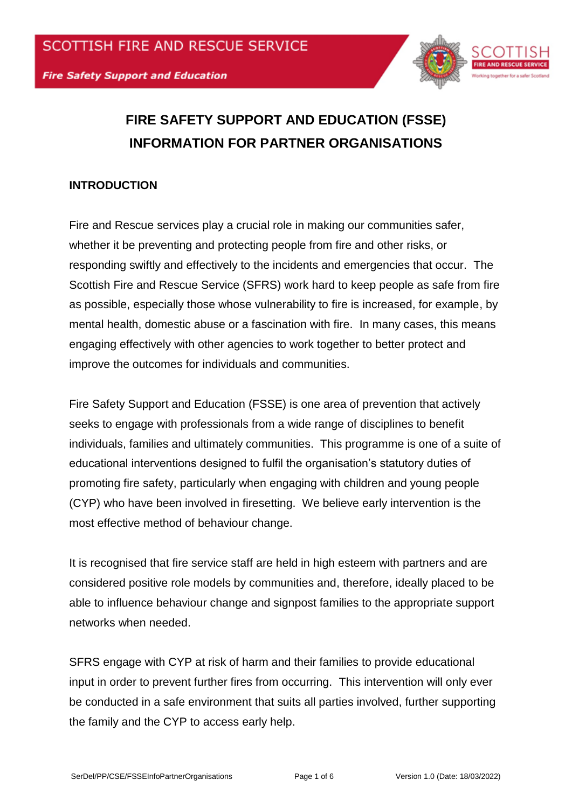

# **FIRE SAFETY SUPPORT AND EDUCATION (FSSE) INFORMATION FOR PARTNER ORGANISATIONS**

# **INTRODUCTION**

Fire and Rescue services play a crucial role in making our communities safer, whether it be preventing and protecting people from fire and other risks, or responding swiftly and effectively to the incidents and emergencies that occur. The Scottish Fire and Rescue Service (SFRS) work hard to keep people as safe from fire as possible, especially those whose vulnerability to fire is increased, for example, by mental health, domestic abuse or a fascination with fire. In many cases, this means engaging effectively with other agencies to work together to better protect and improve the outcomes for individuals and communities.

Fire Safety Support and Education (FSSE) is one area of prevention that actively seeks to engage with professionals from a wide range of disciplines to benefit individuals, families and ultimately communities. This programme is one of a suite of educational interventions designed to fulfil the organisation's statutory duties of promoting fire safety, particularly when engaging with children and young people (CYP) who have been involved in firesetting. We believe early intervention is the most effective method of behaviour change.

It is recognised that fire service staff are held in high esteem with partners and are considered positive role models by communities and, therefore, ideally placed to be able to influence behaviour change and signpost families to the appropriate support networks when needed.

SFRS engage with CYP at risk of harm and their families to provide educational input in order to prevent further fires from occurring. This intervention will only ever be conducted in a safe environment that suits all parties involved, further supporting the family and the CYP to access early help.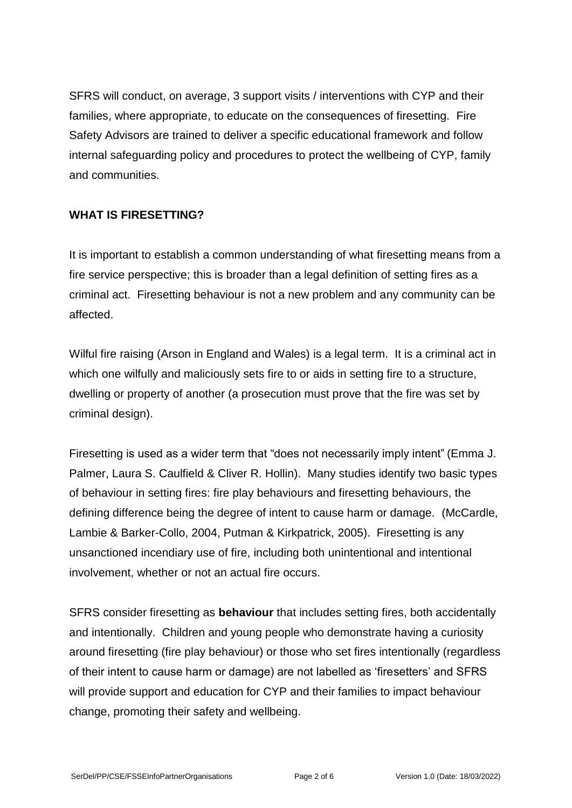SFRS will conduct, on average, 3 support visits / interventions with CYP and their families, where appropriate, to educate on the consequences of firesetting. Fire Safety Advisors are trained to deliver a specific educational framework and follow internal safeguarding policy and procedures to protect the wellbeing of CYP, family and communities.

## **WHAT IS FIRESETTING?**

It is important to establish a common understanding of what firesetting means from a fire service perspective; this is broader than a legal definition of setting fires as a criminal act. Firesetting behaviour is not a new problem and any community can be affected.

Wilful fire raising (Arson in England and Wales) is a legal term. It is a criminal act in which one wilfully and maliciously sets fire to or aids in setting fire to a structure, dwelling or property of another (a prosecution must prove that the fire was set by criminal design).

Firesetting is used as a wider term that "does not necessarily imply intent" (Emma J. Palmer, Laura S. Caulfield & Cliver R. Hollin). Many studies identify two basic types of behaviour in setting fires: fire play behaviours and firesetting behaviours, the defining difference being the degree of intent to cause harm or damage. (McCardle, Lambie & Barker-Collo, 2004, Putman & Kirkpatrick, 2005). Firesetting is any unsanctioned incendiary use of fire, including both unintentional and intentional involvement, whether or not an actual fire occurs.

SFRS consider firesetting as **behaviour** that includes setting fires, both accidentally and intentionally. Children and young people who demonstrate having a curiosity around firesetting (fire play behaviour) or those who set fires intentionally (regardless of their intent to cause harm or damage) are not labelled as 'firesetters' and SFRS will provide support and education for CYP and their families to impact behaviour change, promoting their safety and wellbeing.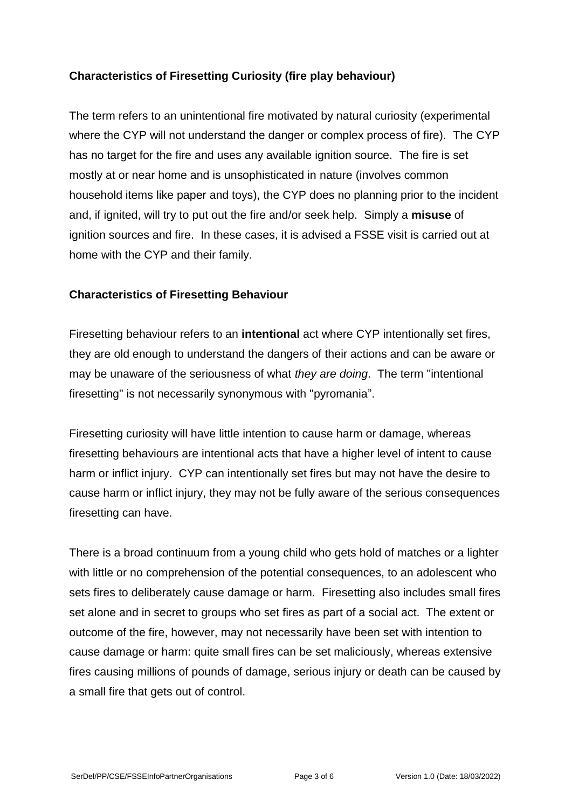# **Characteristics of Firesetting Curiosity (fire play behaviour)**

The term refers to an unintentional fire motivated by natural curiosity (experimental where the CYP will not understand the danger or complex process of fire). The CYP has no target for the fire and uses any available ignition source. The fire is set mostly at or near home and is unsophisticated in nature (involves common household items like paper and toys), the CYP does no planning prior to the incident and, if ignited, will try to put out the fire and/or seek help. Simply a **misuse** of ignition sources and fire. In these cases, it is advised a FSSE visit is carried out at home with the CYP and their family.

#### **Characteristics of Firesetting Behaviour**

Firesetting behaviour refers to an **intentional** act where CYP intentionally set fires, they are old enough to understand the dangers of their actions and can be aware or may be unaware of the seriousness of what *they are doing*. The term "intentional firesetting" is not necessarily synonymous with "pyromania".

Firesetting curiosity will have little intention to cause harm or damage, whereas firesetting behaviours are intentional acts that have a higher level of intent to cause harm or inflict injury. CYP can intentionally set fires but may not have the desire to cause harm or inflict injury, they may not be fully aware of the serious consequences firesetting can have.

There is a broad continuum from a young child who gets hold of matches or a lighter with little or no comprehension of the potential consequences, to an adolescent who sets fires to deliberately cause damage or harm. Firesetting also includes small fires set alone and in secret to groups who set fires as part of a social act. The extent or outcome of the fire, however, may not necessarily have been set with intention to cause damage or harm: quite small fires can be set maliciously, whereas extensive fires causing millions of pounds of damage, serious injury or death can be caused by a small fire that gets out of control.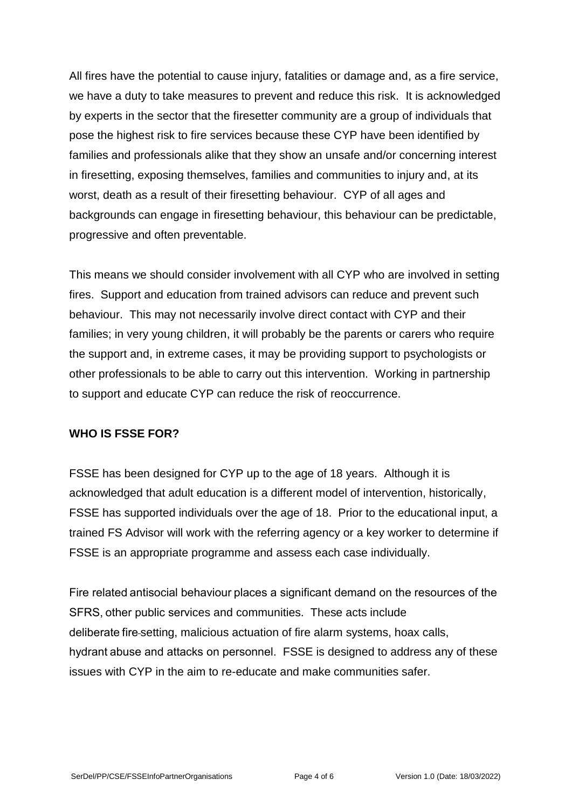All fires have the potential to cause injury, fatalities or damage and, as a fire service, we have a duty to take measures to prevent and reduce this risk. It is acknowledged by experts in the sector that the firesetter community are a group of individuals that pose the highest risk to fire services because these CYP have been identified by families and professionals alike that they show an unsafe and/or concerning interest in firesetting, exposing themselves, families and communities to injury and, at its worst, death as a result of their firesetting behaviour. CYP of all ages and backgrounds can engage in firesetting behaviour, this behaviour can be predictable, progressive and often preventable.

This means we should consider involvement with all CYP who are involved in setting fires. Support and education from trained advisors can reduce and prevent such behaviour. This may not necessarily involve direct contact with CYP and their families; in very young children, it will probably be the parents or carers who require the support and, in extreme cases, it may be providing support to psychologists or other professionals to be able to carry out this intervention. Working in partnership to support and educate CYP can reduce the risk of reoccurrence.

## **WHO IS FSSE FOR?**

FSSE has been designed for CYP up to the age of 18 years. Although it is acknowledged that adult education is a different model of intervention, historically, FSSE has supported individuals over the age of 18. Prior to the educational input, a trained FS Advisor will work with the referring agency or a key worker to determine if FSSE is an appropriate programme and assess each case individually.

Fire related antisocial behaviour places a significant demand on the resources of the SFRS, other public services and communities. These acts include deliberate fire setting, malicious actuation of fire alarm systems, hoax calls, hydrant abuse and attacks on personnel. FSSE is designed to address any of these issues with CYP in the aim to re-educate and make communities safer.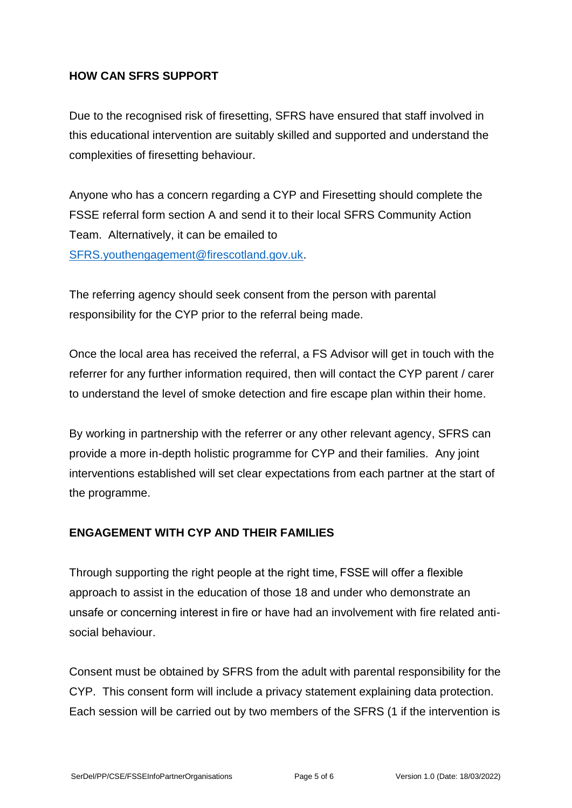# **HOW CAN SFRS SUPPORT**

Due to the recognised risk of firesetting, SFRS have ensured that staff involved in this educational intervention are suitably skilled and supported and understand the complexities of firesetting behaviour.

Anyone who has a concern regarding a CYP and Firesetting should complete the FSSE referral form section A and send it to their local SFRS Community Action Team. Alternatively, it can be emailed to [SFRS.youthengagement@firescotland.gov.uk.](mailto:SFRS.youthengagement@firescotland.gov.uk)

The referring agency should seek consent from the person with parental responsibility for the CYP prior to the referral being made.

Once the local area has received the referral, a FS Advisor will get in touch with the referrer for any further information required, then will contact the CYP parent / carer to understand the level of smoke detection and fire escape plan within their home.

By working in partnership with the referrer or any other relevant agency, SFRS can provide a more in-depth holistic programme for CYP and their families. Any joint interventions established will set clear expectations from each partner at the start of the programme.

## **ENGAGEMENT WITH CYP AND THEIR FAMILIES**

Through supporting the right people at the right time, FSSE will offer a flexible approach to assist in the education of those 18 and under who demonstrate an unsafe or concerning interest in fire or have had an involvement with fire related antisocial behaviour. 

Consent must be obtained by SFRS from the adult with parental responsibility for the CYP. This consent form will include a privacy statement explaining data protection. Each session will be carried out by two members of the SFRS (1 if the intervention is